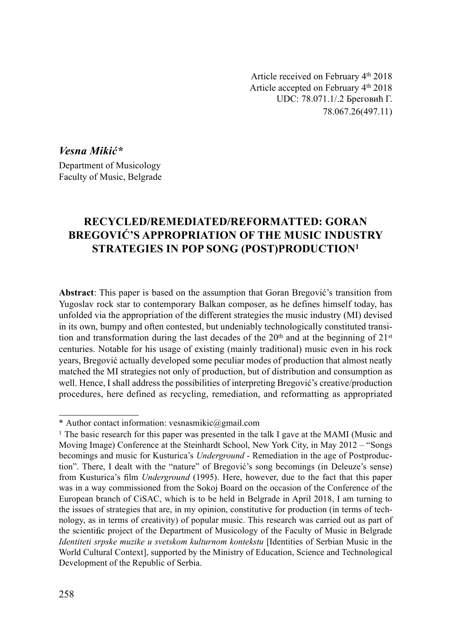Article received on February 4th 2018 Article accepted on February 4th 2018 UDC: 78.071.1/.2 Бреговић Г. 78.067.26(497.11)

Vesna Mikić\* Department of Musicology Faculty of Music, Belgrade

# RECYCLED/REMEDIATED/REFORMATTED: GORAN BREGOVIĆ'S APPROPRIATION OF THE MUSIC INDUSTRY STRATEGIES IN POP SONG (POST)PRODUCTION1

Abstract: This paper is based on the assumption that Goran Bregović's transition from Yugoslav rock star to contemporary Balkan composer, as he defines himself today, has unfolded via the appropriation of the different strategies the music industry (MI) devised in its own, bumpy and often contested, but undeniably technologically constituted transition and transformation during the last decades of the  $20<sup>th</sup>$  and at the beginning of  $21<sup>st</sup>$ centuries. Notable for his usage of existing (mainly traditional) music even in his rock years, Bregović actually developed some peculiar modes of production that almost neatly matched the MI strategies not only of production, but of distribution and consumption as well. Hence, I shall address the possibilities of interpreting Bregović's creative/production procedures, here defined as recycling, remediation, and reformatting as appropriated

<sup>\*</sup> Author contact information: vesnasmikic@gmail.com

<sup>1</sup> The basic research for this paper was presented in the talk I gave at the MAMI (Music and Moving Image) Conference at the Steinhardt School, New York City, in May 2012 – "Songs becomings and music for Kusturica's Underground - Remediation in the age of Postproduction". There, I dealt with the "nature" of Bregović's song becomings (in Deleuze's sense) from Kusturica's film Underground (1995). Here, however, due to the fact that this paper was in a way commissioned from the Sokoj Board on the occasion of the Conference of the European branch of CiSAC, which is to be held in Belgrade in April 2018, I am turning to the issues of strategies that are, in my opinion, constitutive for production (in terms of technology, as in terms of creativity) of popular music. This research was carried out as part of the scientific project of the Department of Musicology of the Faculty of Music in Belgrade Identiteti srpske muzike u svetskom kulturnom kontekstu [Identities of Serbian Music in the World Cultural Context], supported by the Ministry of Education, Science and Technological Development of the Republic of Serbia.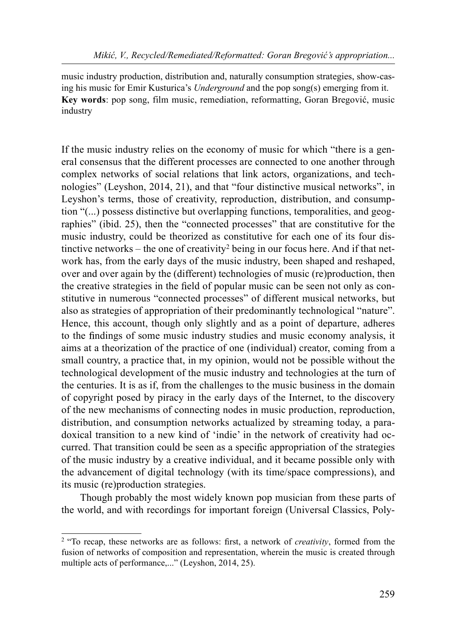music industry production, distribution and, naturally consumption strategies, show-casing his music for Emir Kusturica's Underground and the pop song(s) emerging from it. Key words: pop song, film music, remediation, reformatting, Goran Bregović, music industry

If the music industry relies on the economy of music for which "there is a general consensus that the different processes are connected to one another through complex networks of social relations that link actors, organizations, and technologies" (Leyshon, 2014, 21), and that "four distinctive musical networks", in Leyshon's terms, those of creativity, reproduction, distribution, and consumption "(...) possess distinctive but overlapping functions, temporalities, and geographies" (ibid. 25), then the "connected processes" that are constitutive for the music industry, could be theorized as constitutive for each one of its four distinctive networks – the one of creativity<sup>2</sup> being in our focus here. And if that network has, from the early days of the music industry, been shaped and reshaped, over and over again by the (different) technologies of music (re)production, then the creative strategies in the field of popular music can be seen not only as constitutive in numerous "connected processes" of different musical networks, but also as strategies of appropriation of their predominantly technological "nature". Hence, this account, though only slightly and as a point of departure, adheres to the findings of some music industry studies and music economy analysis, it aims at a theorization of the practice of one (individual) creator, coming from a small country, a practice that, in my opinion, would not be possible without the technological development of the music industry and technologies at the turn of the centuries. It is as if, from the challenges to the music business in the domain of copyright posed by piracy in the early days of the Internet, to the discovery of the new mechanisms of connecting nodes in music production, reproduction, distribution, and consumption networks actualized by streaming today, a paradoxical transition to a new kind of 'indie' in the network of creativity had occurred. That transition could be seen as a specific appropriation of the strategies of the music industry by a creative individual, and it became possible only with the advancement of digital technology (with its time/space compressions), and its music (re)production strategies.

Though probably the most widely known pop musician from these parts of the world, and with recordings for important foreign (Universal Classics, Poly-

 $2$  "To recap, these networks are as follows: first, a network of *creativity*, formed from the fusion of networks of composition and representation, wherein the music is created through multiple acts of performance,..." (Leyshon, 2014, 25).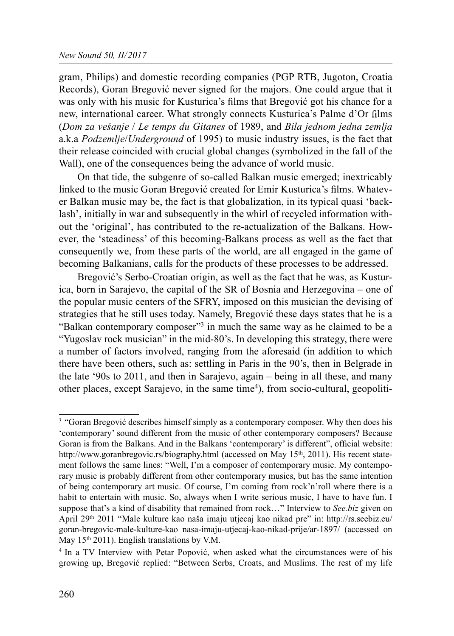gram, Philips) and domestic recording companies (PGP RTB, Jugoton, Croatia Records), Goran Bregović never signed for the majors. One could argue that it was only with his music for Kusturica's films that Bregović got his chance for a new, international career. What strongly connects Kusturica's Palme d'Or films (Dom za vešanje / Le temps du Gitanes of 1989, and Bila jednom jedna zemlja a.k.a *Podzemlje/Underground* of 1995) to music industry issues, is the fact that their release coincided with crucial global changes (symbolized in the fall of the Wall), one of the consequences being the advance of world music.

On that tide, the subgenre of so-called Balkan music emerged; inextricably linked to the music Goran Bregović created for Emir Kusturica's films. Whatever Balkan music may be, the fact is that globalization, in its typical quasi 'backlash', initially in war and subsequently in the whirl of recycled information without the 'original', has contributed to the re-actualization of the Balkans. However, the 'steadiness' of this becoming-Balkans process as well as the fact that consequently we, from these parts of the world, are all engaged in the game of becoming Balkanians, calls for the products of these processes to be addressed.

Bregović's Serbo-Croatian origin, as well as the fact that he was, as Kusturica, born in Sarajevo, the capital of the SR of Bosnia and Herzegovina – one of the popular music centers of the SFRY, imposed on this musician the devising of strategies that he still uses today. Namely, Bregović these days states that he is a "Balkan contemporary composer"<sup>3</sup> in much the same way as he claimed to be a "Yugoslav rock musician" in the mid-80's. In developing this strategy, there were a number of factors involved, ranging from the aforesaid (in addition to which there have been others, such as: settling in Paris in the 90's, then in Belgrade in the late '90s to 2011, and then in Sarajevo, again – being in all these, and many other places, except Sarajevo, in the same time<sup>4</sup>), from socio-cultural, geopoliti-

<sup>&</sup>lt;sup>3</sup> "Goran Bregović describes himself simply as a contemporary composer. Why then does his 'contemporary' sound different from the music of other contemporary composers? Because Goran is from the Balkans. And in the Balkans 'contemporary' is different", official website: http://www.goranbregovic.rs/biography.html (accessed on May 15<sup>th</sup>, 2011). His recent statement follows the same lines: "Well, I'm a composer of contemporary music. My contemporary music is probably different from other contemporary musics, but has the same intention of being contemporary art music. Of course, I'm coming from rock'n'roll where there is a habit to entertain with music. So, always when I write serious music, I have to have fun. I suppose that's a kind of disability that remained from rock..." Interview to See.biz given on April 29th 2011 "Male kulture kao naša imaju utjecaj kao nikad pre" in: http://rs.seebiz.eu/ goran-bregovic-male-kulture-kao nasa-imaju-utjecaj-kao-nikad-prije/ar-1897/ (accessed on May 15<sup>th</sup> 2011). English translations by V.M.

<sup>4</sup> In a TV Interview with Petar Popović, when asked what the circumstances were of his growing up, Bregović replied: "Between Serbs, Croats, and Muslims. The rest of my life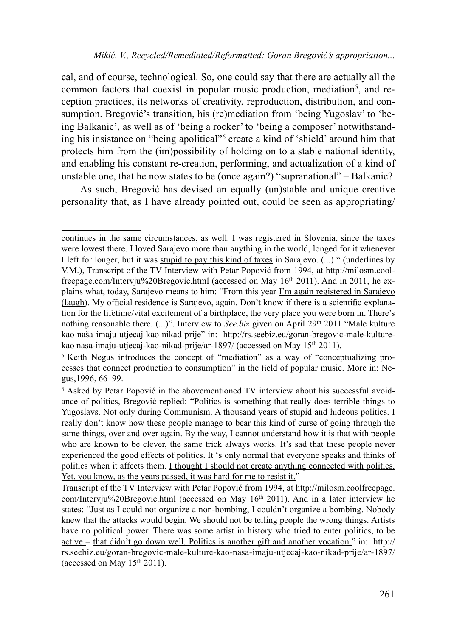cal, and of course, technological. So, one could say that there are actually all the common factors that coexist in popular music production, mediation<sup>5</sup>, and reception practices, its networks of creativity, reproduction, distribution, and consumption. Bregović's transition, his (re)mediation from 'being Yugoslav' to 'being Balkanic', as well as of 'being a rocker' to 'being a composer' notwithstanding his insistance on "being apolitical"6 create a kind of 'shield' around him that protects him from the (im)possibility of holding on to a stable national identity, and enabling his constant re-creation, performing, and actualization of a kind of unstable one, that he now states to be (once again?) "supranational" – Balkanic?

As such, Bregović has devised an equally (un)stable and unique creative personality that, as I have already pointed out, could be seen as appropriating/

continues in the same circumstances, as well. I was registered in Slovenia, since the taxes were lowest there. I loved Sarajevo more than anything in the world, longed for it whenever I left for longer, but it was stupid to pay this kind of taxes in Sarajevo. (...) " (underlines by V.M.), Transcript of the TV Interview with Petar Popović from 1994, at http://milosm.coolfreepage.com/Intervju%20Bregovic.html (accessed on May 16th 2011). And in 2011, he explains what, today, Sarajevo means to him: "From this year I'm again registered in Sarajevo  $(laugh)$ . My official residence is Sarajevo, again. Don't know if there is a scientific explanation for the lifetime/vital excitement of a birthplace, the very place you were born in. There's nothing reasonable there.  $(...)$ ". Interview to *See.biz* given on April 29<sup>th</sup> 2011 "Male kulture kao naša imaju utjecaj kao nikad prije" in: http://rs.seebiz.eu/goran-bregovic-male-kulturekao nasa-imaju-utjecaj-kao-nikad-prije/ar-1897/ (accessed on May 15th 2011).

<sup>5</sup> Keith Negus introduces the concept of "mediation" as a way of "conceptualizing processes that connect production to consumption" in the field of popular music. More in: Negus,1996, 66–99.

<sup>6</sup> Asked by Petar Popović in the abovementioned TV interview about his successful avoidance of politics, Bregović replied: "Politics is something that really does terrible things to Yugoslavs. Not only during Communism. A thousand years of stupid and hideous politics. I really don't know how these people manage to bear this kind of curse of going through the same things, over and over again. By the way, I cannot understand how it is that with people who are known to be clever, the same trick always works. It's sad that these people never experienced the good effects of politics. It 's only normal that everyone speaks and thinks of politics when it affects them. I thought I should not create anything connected with politics. Yet, you know, as the years passed, it was hard for me to resist it."

Transcript of the TV Interview with Petar Popović from 1994, at http://milosm.coolfreepage. com/Intervju%20Bregovic.html (accessed on May 16th 2011). And in a later interview he states: "Just as I could not organize a non-bombing, I couldn't organize a bombing. Nobody knew that the attacks would begin. We should not be telling people the wrong things. Artists have no political power. There was some artist in history who tried to enter politics, to be active – that didn't go down well. Politics is another gift and another vocation." in: http:// rs.seebiz.eu/goran-bregovic-male-kulture-kao-nasa-imaju-utjecaj-kao-nikad-prije/ar-1897/ (accessed on May  $15<sup>th</sup> 2011$ ).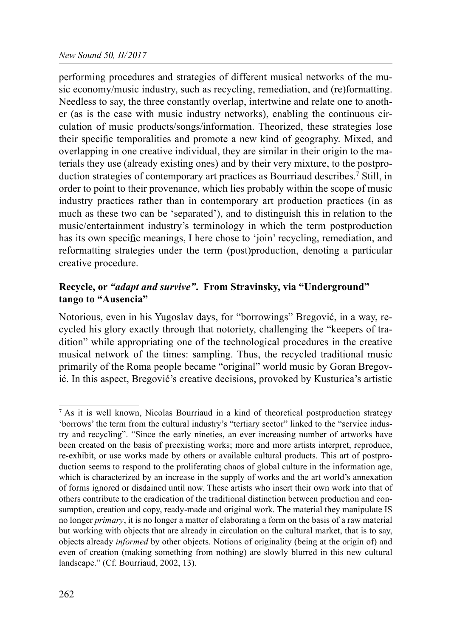performing procedures and strategies of different musical networks of the music economy/music industry, such as recycling, remediation, and (re)formatting. Needless to say, the three constantly overlap, intertwine and relate one to another (as is the case with music industry networks), enabling the continuous circulation of music products/songs/information. Theorized, these strategies lose their specific temporalities and promote a new kind of geography. Mixed, and overlapping in one creative individual, they are similar in their origin to the materials they use (already existing ones) and by their very mixture, to the postproduction strategies of contemporary art practices as Bourriaud describes.7 Still, in order to point to their provenance, which lies probably within the scope of music industry practices rather than in contemporary art production practices (in as much as these two can be 'separated'), and to distinguish this in relation to the music/entertainment industry's terminology in which the term postproduction has its own specific meanings, I here chose to 'join' recycling, remediation, and reformatting strategies under the term (post)production, denoting a particular creative procedure.

### Recycle, or "*adapt and survive*". From Stravinsky, via "Underground" tango to "Ausencia"

Notorious, even in his Yugoslav days, for "borrowings" Bregović, in a way, recycled his glory exactly through that notoriety, challenging the "keepers of tradition" while appropriating one of the technological procedures in the creative musical network of the times: sampling. Thus, the recycled traditional music primarily of the Roma people became "original" world music by Goran Bregović. In this aspect, Bregović's creative decisions, provoked by Kusturica's artistic

<sup>7</sup> As it is well known, Nicolas Bourriaud in a kind of theoretical postproduction strategy 'borrows' the term from the cultural industry's "tertiary sector" linked to the "service industry and recycling". "Since the early nineties, an ever increasing number of artworks have been created on the basis of preexisting works; more and more artists interpret, reproduce, re-exhibit, or use works made by others or available cultural products. This art of postproduction seems to respond to the proliferating chaos of global culture in the information age, which is characterized by an increase in the supply of works and the art world's annexation of forms ignored or disdained until now. These artists who insert their own work into that of others contribute to the eradication of the traditional distinction between production and consumption, creation and copy, ready-made and original work. The material they manipulate IS no longer *primary*, it is no longer a matter of elaborating a form on the basis of a raw material but working with objects that are already in circulation on the cultural market, that is to say, objects already *informed* by other objects. Notions of originality (being at the origin of) and even of creation (making something from nothing) are slowly blurred in this new cultural landscape." (Cf. Bourriaud, 2002, 13).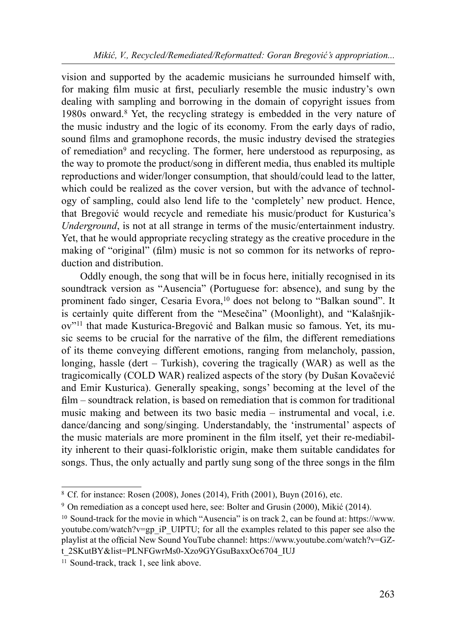vision and supported by the academic musicians he surrounded himself with, for making film music at first, peculiarly resemble the music industry's own dealing with sampling and borrowing in the domain of copyright issues from 1980s onward.8 Yet, the recycling strategy is embedded in the very nature of the music industry and the logic of its economy. From the early days of radio, sound films and gramophone records, the music industry devised the strategies of remediation<sup>9</sup> and recycling. The former, here understood as repurposing, as the way to promote the product/song in different media, thus enabled its multiple reproductions and wider/longer consumption, that should/could lead to the latter, which could be realized as the cover version, but with the advance of technology of sampling, could also lend life to the 'completely' new product. Hence, that Bregović would recycle and remediate his music/product for Kusturica's Underground, is not at all strange in terms of the music/entertainment industry. Yet, that he would appropriate recycling strategy as the creative procedure in the making of "original" (film) music is not so common for its networks of reproduction and distribution.

Oddly enough, the song that will be in focus here, initially recognised in its soundtrack version as "Ausencia" (Portuguese for: absence), and sung by the prominent fado singer, Cesaria Evora,<sup>10</sup> does not belong to "Balkan sound". It is certainly quite different from the "Mesečina" (Moonlight), and "Kalašnjikov"11 that made Kusturica-Bregović and Balkan music so famous. Yet, its music seems to be crucial for the narrative of the film, the different remediations of its theme conveying different emotions, ranging from melancholy, passion, longing, hassle (dert – Turkish), covering the tragically (WAR) as well as the tragicomically (COLD WAR) realized aspects of the story (by Dušan Kovačević and Emir Kusturica). Generally speaking, songs' becoming at the level of the  $film$  – soundtrack relation, is based on remediation that is common for traditional music making and between its two basic media – instrumental and vocal, i.e. dance/dancing and song/singing. Understandably, the 'instrumental' aspects of the music materials are more prominent in the film itself, yet their re-mediability inherent to their quasi-folkloristic origin, make them suitable candidates for songs. Thus, the only actually and partly sung song of the three songs in the film

<sup>8</sup> Cf. for instance: Rosen (2008), Jones (2014), Frith (2001), Buyn (2016), etc.

<sup>9</sup> On remediation as a concept used here, see: Bolter and Grusin (2000), Mikić (2014).

<sup>&</sup>lt;sup>10</sup> Sound-track for the movie in which "Ausencia" is on track 2, can be found at: https://www. youtube.com/watch?v=gp\_iP\_UIPTU; for all the examples related to this paper see also the playlist at the official New Sound YouTube channel: https://www.youtube.com/watch?v=GZt\_2SKutBY&list=PLNFGwrMs0-Xzo9GYGsuBaxxOc6704\_IUJ

<sup>&</sup>lt;sup>11</sup> Sound-track, track 1, see link above.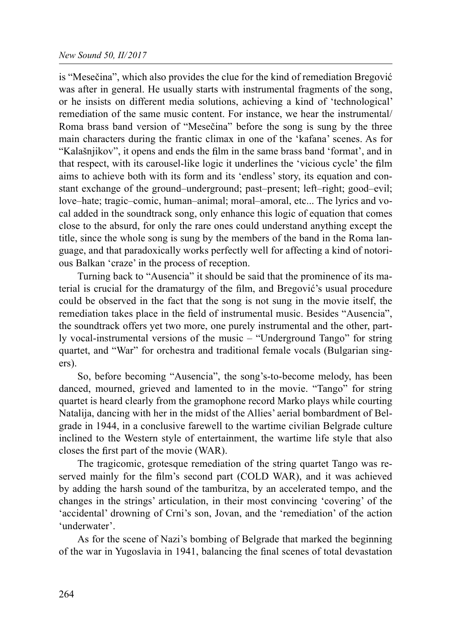is "Mesečina", which also provides the clue for the kind of remediation Bregović was after in general. He usually starts with instrumental fragments of the song, or he insists on different media solutions, achieving a kind of 'technological' remediation of the same music content. For instance, we hear the instrumental/ Roma brass band version of "Mesečina" before the song is sung by the three main characters during the frantic climax in one of the 'kafana' scenes. As for "Kalašnjikov", it opens and ends the film in the same brass band 'format', and in that respect, with its carousel-like logic it underlines the 'vicious cycle' the film aims to achieve both with its form and its 'endless' story, its equation and constant exchange of the ground–underground; past–present; left–right; good–evil; love–hate; tragic–comic, human–animal; moral–amoral, etc... The lyrics and vocal added in the soundtrack song, only enhance this logic of equation that comes close to the absurd, for only the rare ones could understand anything except the title, since the whole song is sung by the members of the band in the Roma language, and that paradoxically works perfectly well for affecting a kind of notorious Balkan 'craze' in the process of reception.

Turning back to "Ausencia" it should be said that the prominence of its material is crucial for the dramaturgy of the film, and Bregović's usual procedure could be observed in the fact that the song is not sung in the movie itself, the remediation takes place in the field of instrumental music. Besides "Ausencia", the soundtrack offers yet two more, one purely instrumental and the other, partly vocal-instrumental versions of the music – "Underground Tango" for string quartet, and "War" for orchestra and traditional female vocals (Bulgarian singers).

So, before becoming "Ausencia", the song's-to-become melody, has been danced, mourned, grieved and lamented to in the movie. "Tango" for string quartet is heard clearly from the gramophone record Marko plays while courting Natalija, dancing with her in the midst of the Allies' aerial bombardment of Belgrade in 1944, in a conclusive farewell to the wartime civilian Belgrade culture inclined to the Western style of entertainment, the wartime life style that also closes the first part of the movie (WAR).

The tragicomic, grotesque remediation of the string quartet Tango was reserved mainly for the film's second part (COLD WAR), and it was achieved by adding the harsh sound of the tamburitza, by an accelerated tempo, and the changes in the strings' articulation, in their most convincing 'covering' of the 'accidental' drowning of Crni's son, Jovan, and the 'remediation' of the action 'underwater'.

As for the scene of Nazi's bombing of Belgrade that marked the beginning of the war in Yugoslavia in 1941, balancing the final scenes of total devastation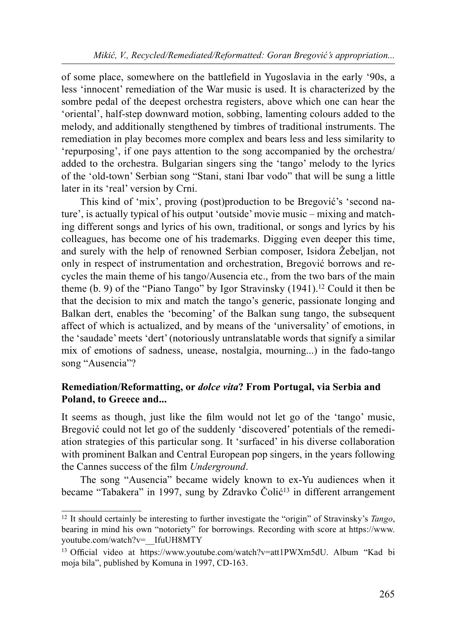of some place, somewhere on the battle field in Yugoslavia in the early '90s, a less 'innocent' remediation of the War music is used. It is characterized by the sombre pedal of the deepest orchestra registers, above which one can hear the 'oriental', half-step downward motion, sobbing, lamenting colours added to the melody, and additionally stengthened by timbres of traditional instruments. The remediation in play becomes more complex and bears less and less similarity to 'repurposing', if one pays attention to the song accompanied by the orchestra/ added to the orchestra. Bulgarian singers sing the 'tango' melody to the lyrics of the 'old-town' Serbian song "Stani, stani Ibar vodo" that will be sung a little later in its 'real' version by Crni.

This kind of 'mix', proving (post)production to be Bregović's 'second nature', is actually typical of his output 'outside' movie music – mixing and matching different songs and lyrics of his own, traditional, or songs and lyrics by his colleagues, has become one of his trademarks. Digging even deeper this time, and surely with the help of renowned Serbian composer, Isidora Žebeljan, not only in respect of instrumentation and orchestration, Bregović borrows and recycles the main theme of his tango/Ausencia etc., from the two bars of the main theme (b. 9) of the "Piano Tango" by Igor Stravinsky  $(1941)$ .<sup>12</sup> Could it then be that the decision to mix and match the tango's generic, passionate longing and Balkan dert, enables the 'becoming' of the Balkan sung tango, the subsequent affect of which is actualized, and by means of the 'universality' of emotions, in the 'saudade' meets 'dert' (notoriously untranslatable words that signify a similar mix of emotions of sadness, unease, nostalgia, mourning...) in the fado-tango song "Ausencia"?

## Remediation/Reformatting, or dolce vita? From Portugal, via Serbia and Poland, to Greece and...

It seems as though, just like the film would not let go of the 'tango' music, Bregović could not let go of the suddenly 'discovered' potentials of the remediation strategies of this particular song. It 'surfaced' in his diverse collaboration with prominent Balkan and Central European pop singers, in the years following the Cannes success of the film Underground.

The song "Ausencia" became widely known to ex-Yu audiences when it became "Tabakera" in 1997, sung by Zdravko Čolić<sup>13</sup> in different arrangement

<sup>&</sup>lt;sup>12</sup> It should certainly be interesting to further investigate the "origin" of Stravinsky's Tango, bearing in mind his own "notoriety" for borrowings. Recording with score at https://www. youtube.com/watch?v=\_\_IfuUH8MTY

<sup>&</sup>lt;sup>13</sup> Official video at https://www.youtube.com/watch?v=att1PWXm5dU. Album "Kad bi moja bila", published by Komuna in 1997, CD-163.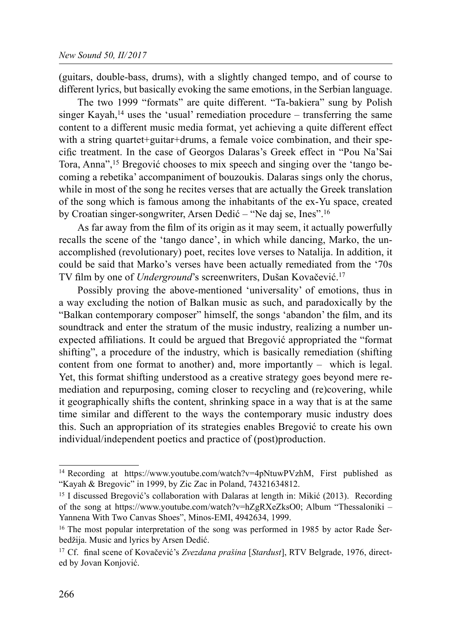(guitars, double-bass, drums), with a slightly changed tempo, and of course to different lyrics, but basically evoking the same emotions, in the Serbian language.

The two 1999 "formats" are quite different. "Ta-bakiera" sung by Polish singer Kayah,<sup>14</sup> uses the 'usual' remediation procedure – transferring the same content to a different music media format, yet achieving a quite different effect with a string quartet+guitar+drums, a female voice combination, and their specific treatment. In the case of Georgos Dalaras's Greek effect in "Pou Na'Sai Tora, Anna",<sup>15</sup> Bregović chooses to mix speech and singing over the 'tango becoming a rebetika' accompaniment of bouzoukis. Dalaras sings only the chorus, while in most of the song he recites verses that are actually the Greek translation of the song which is famous among the inhabitants of the ex-Yu space, created by Croatian singer-songwriter, Arsen Dedić – "Ne daj se, Ines".16

As far away from the film of its origin as it may seem, it actually powerfully recalls the scene of the 'tango dance', in which while dancing, Marko, the unaccomplished (revolutionary) poet, recites love verses to Natalija. In addition, it could be said that Marko's verses have been actually remediated from the '70s TV film by one of Underground's screenwriters, Dušan Kovačević.<sup>17</sup>

Possibly proving the above-mentioned 'universality' of emotions, thus in a way excluding the notion of Balkan music as such, and paradoxically by the "Balkan contemporary composer" himself, the songs 'abandon' the film, and its soundtrack and enter the stratum of the music industry, realizing a number unexpected affiliations. It could be argued that Bregović appropriated the "format shifting", a procedure of the industry, which is basically remediation (shifting content from one format to another) and, more importantly – which is legal. Yet, this format shifting understood as a creative strategy goes beyond mere remediation and repurposing, coming closer to recycling and (re)covering, while it geographically shifts the content, shrinking space in a way that is at the same time similar and different to the ways the contemporary music industry does this. Such an appropriation of its strategies enables Bregović to create his own individual/independent poetics and practice of (post)production.

<sup>&</sup>lt;sup>14</sup> Recording at https://www.youtube.com/watch?v=4pNtuwPVzhM, First published as "Kayah & Bregovic" in 1999, by Zic Zac in Poland, 74321634812.

<sup>&</sup>lt;sup>15</sup> I discussed Bregović's collaboration with Dalaras at length in: Mikić (2013). Recording of the song at https://www.youtube.com/watch?v=hZgRXeZksO0; Album "Thessaloniki – Yannena With Two Canvas Shoes", Minos-EMI, 4942634, 1999.

<sup>&</sup>lt;sup>16</sup> The most popular interpretation of the song was performed in 1985 by actor Rade Šerbedžija. Music and lyrics by Arsen Dedić.

<sup>&</sup>lt;sup>17</sup> Cf. final scene of Kovačević's Zvezdana prašina [Stardust], RTV Belgrade, 1976, directed by Jovan Konjović.